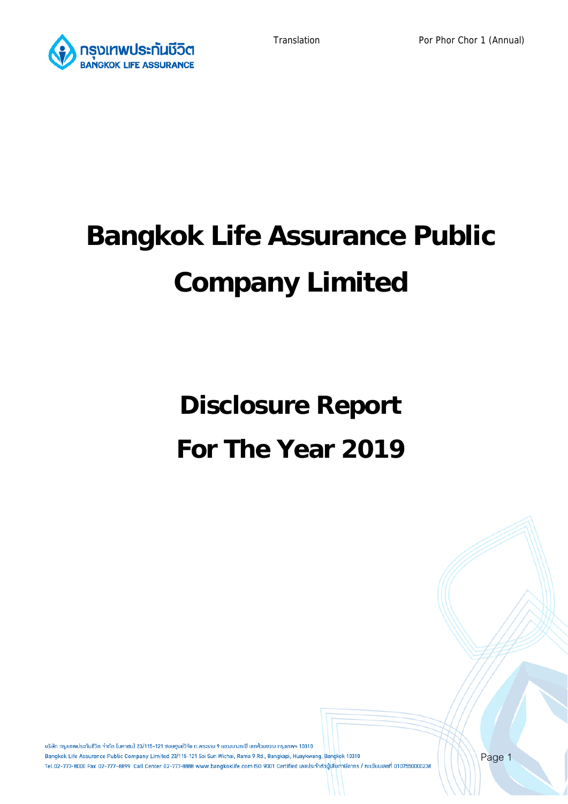

# **Bangkok Life Assurance Public Company Limited**

# **Disclosure Report For The Year 2019**

้บริษัท กรมเทพประกันชีวิต จำกัด (มหาชน) 23/115-121 ซอยศนย์วิจัย ถ.พระราม 9 แขวมบางกะปิ เขตห้วยขวาง กรมเทพฯ 10310 Bangkok Life Assurance Public Company Limited 23/115-121 Soi Sun Wichai, Rama 9 Rd., Bangkapi, Huaykwang, Bangkok 10310 Tel.02-777-8000 Fax 02-777-8899 Call Center 02-777-8888 www.bangkoklife.com ISO 9001 Certified เลขประจำตัวผู้เสียภาษีอากร / ทะเบียนเลขที่ 0107550000238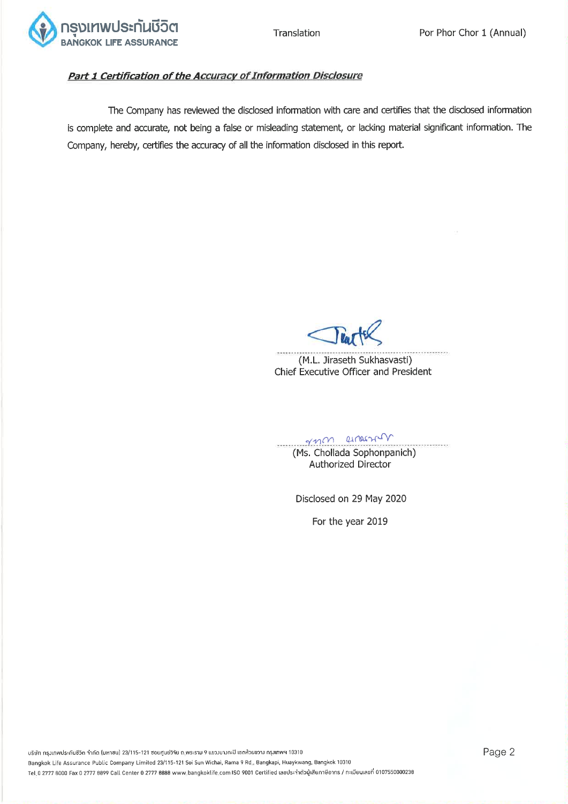![](_page_1_Picture_0.jpeg)

# Part 1 Certification of the Accuracy of Information Disclosure

The Company has reviewed the disclosed information with care and certifies that the disclosed information is complete and accurate, not being a false or misleading statement, or lacking material significant information. The Company, hereby, certifies the accuracy of all the information disclosed in this report.

(M.L. Jiraseth Sukhasvasti) Chief Executive Officer and President

resemblance . . . . . . . . . . (Ms. Chollada Sophonpanich) **Authorized Director** 

Disclosed on 29 May 2020

For the year 2019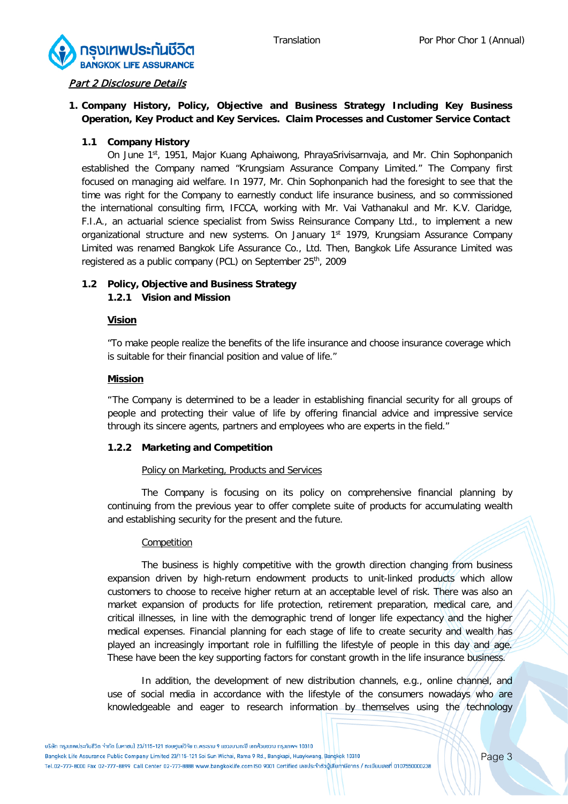![](_page_2_Picture_2.jpeg)

#### **Part 2 Disclosure Details**

# **1. Company History, Policy, Objective and Business Strategy Including Key Business Operation, Key Product and Key Services. Claim Processes and Customer Service Contact**

#### **1.1 Company History**

On June 1st, 1951, Major Kuang Aphaiwong, PhrayaSrivisarnvaja, and Mr. Chin Sophonpanich established the Company named "Krungsiam Assurance Company Limited." The Company first focused on managing aid welfare. In 1977, Mr. Chin Sophonpanich had the foresight to see that the time was right for the Company to earnestly conduct life insurance business, and so commissioned the international consulting firm, IFCCA, working with Mr. Vai Vathanakul and Mr. K.V. Claridge, F.I.A., an actuarial science specialist from Swiss Reinsurance Company Ltd., to implement a new organizational structure and new systems. On January 1<sup>st</sup> 1979, Krungsiam Assurance Company Limited was renamed Bangkok Life Assurance Co., Ltd. Then, Bangkok Life Assurance Limited was registered as a public company (PCL) on September 25<sup>th</sup>, 2009

# **1.2 Policy, Objective and Business Strategy 1.2.1 Vision and Mission**

#### **Vision**

"To make people realize the benefits of the life insurance and choose insurance coverage which is suitable for their financial position and value of life."

#### **Mission**

"The Company is determined to be a leader in establishing financial security for all groups of people and protecting their value of life by offering financial advice and impressive service through its sincere agents, partners and employees who are experts in the field."

#### **1.2.2 Marketing and Competition**

#### Policy on Marketing, Products and Services

The Company is focusing on its policy on comprehensive financial planning by continuing from the previous year to offer complete suite of products for accumulating wealth and establishing security for the present and the future.

#### Competition

The business is highly competitive with the growth direction changing from business expansion driven by high-return endowment products to unit-linked products which allow customers to choose to receive higher return at an acceptable level of risk. There was also an market expansion of products for life protection, retirement preparation, medical care, and critical illnesses, in line with the demographic trend of longer life expectancy and the higher medical expenses. Financial planning for each stage of life to create security and wealth has played an increasingly important role in fulfilling the lifestyle of people in this day and age. These have been the key supporting factors for constant growth in the life insurance business.

In addition, the development of new distribution channels, e.g., online channel, and use of social media in accordance with the lifestyle of the consumers nowadays who are knowledgeable and eager to research information by themselves using the technology

Bangkok Life Assurance Public Company Limited 23/115-121 Soi Sun Wichai, Rama 9 Rd., Bangkapi, Huaykwang, Bangkok 10310 Tel.02-777-8000 Fax 02-777-8899 Call Center 02-777-8888 www.bangkoklife.com ISO 9001 Certified เลขประจำตัวบู้เสียภาษีอากร / ทะเบียนเลขที่ 0107550000238

<sup>้</sup>บริษัท กรมเทพประกันชีวิต จำกัด (มหาชน) 23/115-121 ซอยศนย์วิจัย ถ.พระราม 9 แขวมบางกะปิ เขตห้วยขวาง กรมเทพฯ 10310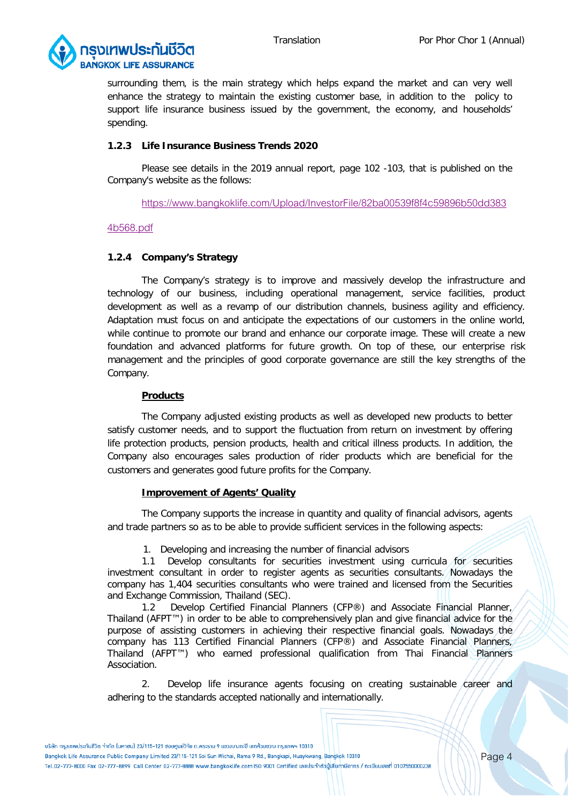![](_page_3_Picture_2.jpeg)

surrounding them, is the main strategy which helps expand the market and can very well enhance the strategy to maintain the existing customer base, in addition to the policy to support life insurance business issued by the government, the economy, and households' spending.

#### **1.2.3 Life Insurance Business Trends 2020**

Please see details in the 2019 annual report, page 102 -103, that is published on the Company's website as the follows:

[https://www.bangkoklife.com/Upload/InvestorFile/82ba00539f8f4c59896b50dd383](https://www.bangkoklife.com/Upload/InvestorFile/82ba00539f8f4c59896b50dd3834b568.pdf)

#### [4b568.pdf](https://www.bangkoklife.com/Upload/InvestorFile/82ba00539f8f4c59896b50dd3834b568.pdf)

#### **1.2.4 Company's Strategy**

The Company's strategy is to improve and massively develop the infrastructure and technology of our business, including operational management, service facilities, product development as well as a revamp of our distribution channels, business agility and efficiency. Adaptation must focus on and anticipate the expectations of our customers in the online world, while continue to promote our brand and enhance our corporate image. These will create a new foundation and advanced platforms for future growth. On top of these, our enterprise risk management and the principles of good corporate governance are still the key strengths of the Company.

#### **Products**

The Company adjusted existing products as well as developed new products to better satisfy customer needs, and to support the fluctuation from return on investment by offering life protection products, pension products, health and critical illness products. In addition, the Company also encourages sales production of rider products which are beneficial for the customers and generates good future profits for the Company.

#### **Improvement of Agents' Quality**

The Company supports the increase in quantity and quality of financial advisors, agents and trade partners so as to be able to provide sufficient services in the following aspects:

1. Developing and increasing the number of financial advisors

1.1 Develop consultants for securities investment using curricula for securities investment consultant in order to register agents as securities consultants. Nowadays the company has 1,404 securities consultants who were trained and licensed from the Securities and Exchange Commission, Thailand (SEC).

1.2 Develop Certified Financial Planners (CFP®) and Associate Financial Planner, Thailand (AFPT™) in order to be able to comprehensively plan and give financial advice for the purpose of assisting customers in achieving their respective financial goals. Nowadays the company has 113 Certified Financial Planners (CFP®) and Associate Financial Planners, Thailand (AFPT™) who earned professional qualification from Thai Financial Planners Association.

2. Develop life insurance agents focusing on creating sustainable career and adhering to the standards accepted nationally and internationally.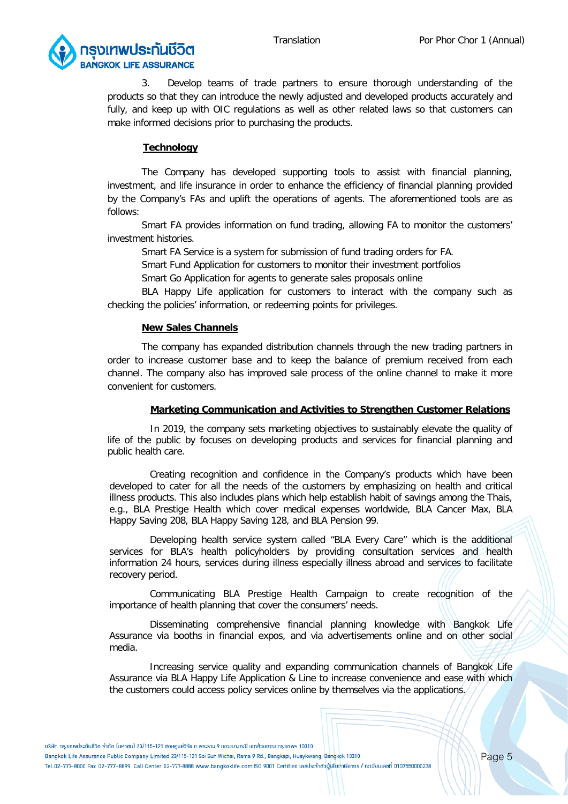![](_page_4_Picture_2.jpeg)

3. Develop teams of trade partners to ensure thorough understanding of the products so that they can introduce the newly adjusted and developed products accurately and fully, and keep up with OIC regulations as well as other related laws so that customers can make informed decisions prior to purchasing the products.

#### **Technology**

The Company has developed supporting tools to assist with financial planning, investment, and life insurance in order to enhance the efficiency of financial planning provided by the Company's FAs and uplift the operations of agents. The aforementioned tools are as follows:

Smart FA provides information on fund trading, allowing FA to monitor the customers' investment histories.

Smart FA Service is a system for submission of fund trading orders for FA.

Smart Fund Application for customers to monitor their investment portfolios

Smart Go Application for agents to generate sales proposals online

BLA Happy Life application for customers to interact with the company such as checking the policies' information, or redeeming points for privileges.

#### **New Sales Channels**

The company has expanded distribution channels through the new trading partners in order to increase customer base and to keep the balance of premium received from each channel. The company also has improved sale process of the online channel to make it more convenient for customers.

#### **Marketing Communication and Activities to Strengthen Customer Relations**

In 2019, the company sets marketing objectives to sustainably elevate the quality of life of the public by focuses on developing products and services for financial planning and public health care.

Creating recognition and confidence in the Company's products which have been developed to cater for all the needs of the customers by emphasizing on health and critical illness products. This also includes plans which help establish habit of savings among the Thais, e.g., BLA Prestige Health which cover medical expenses worldwide, BLA Cancer Max, BLA Happy Saving 208, BLA Happy Saving 128, and BLA Pension 99.

Developing health service system called "BLA Every Care" which is the additional services for BLA's health policyholders by providing consultation services and health information 24 hours, services during illness especially illness abroad and services to facilitate recovery period.

Communicating BLA Prestige Health Campaign to create recognition of the importance of health planning that cover the consumers' needs.

Disseminating comprehensive financial planning knowledge with Bangkok Life Assurance via booths in financial expos, and via advertisements online and on other social media.

Increasing service quality and expanding communication channels of Bangkok Life Assurance via BLA Happy Life Application & Line to increase convenience and ease with which the customers could access policy services online by themselves via the applications.

้บริษัท กรมเทพประกันชีวิต จำกัด ไมหาชน) 23/115-121 ซอยศนย์วิจัย ถ.พระราม 9 แขวมบางกะปิ เขตห้วยขวาง กรมเทพฯ 10310

Bangkok Life Assurance Public Company Limited 23/115-121 Soi Sun Wichai, Rama 9 Rd., Bangkapi, Huaykwang, Bangkok 10310

Tel.02-777-8000 Fax 02-777-8899 Call Center 02-777-8888 www.bangkoklife.com ISO 9001 Certified เลขประจำตัวบู้เสียภาษีอากร / ทะเบียนเลขที่ 0107550000238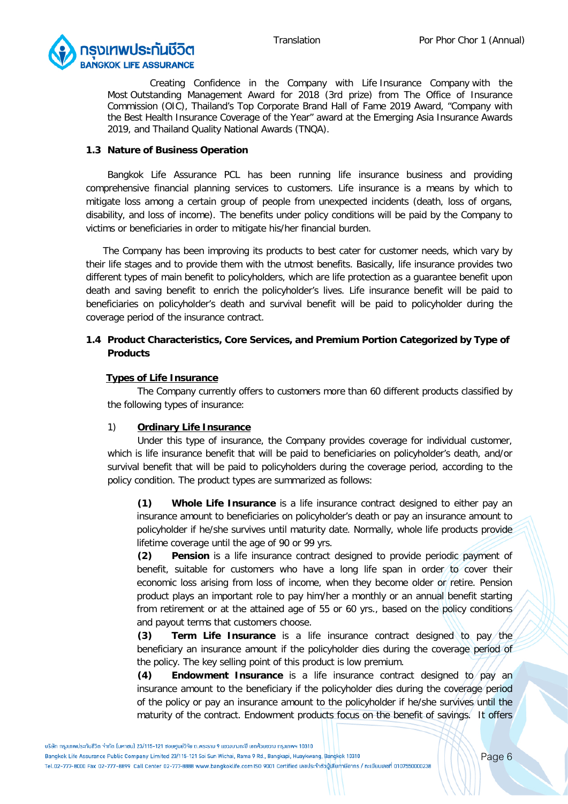![](_page_5_Picture_2.jpeg)

Creating Confidence in the Company with Life Insurance Company with the Most Outstanding Management Award for 2018 (3rd prize) from The Office of Insurance Commission (OIC), Thailand's Top Corporate Brand Hall of Fame 2019 Award, "Company with the Best Health Insurance Coverage of the Year" award at the Emerging Asia Insurance Awards 2019, and Thailand Quality National Awards (TNQA).

#### **1.3 Nature of Business Operation**

Bangkok Life Assurance PCL has been running life insurance business and providing comprehensive financial planning services to customers. Life insurance is a means by which to mitigate loss among a certain group of people from unexpected incidents (death, loss of organs, disability, and loss of income). The benefits under policy conditions will be paid by the Company to victims or beneficiaries in order to mitigate his/her financial burden.

The Company has been improving its products to best cater for customer needs, which vary by their life stages and to provide them with the utmost benefits. Basically, life insurance provides two different types of main benefit to policyholders, which are life protection as a guarantee benefit upon death and saving benefit to enrich the policyholder's lives. Life insurance benefit will be paid to beneficiaries on policyholder's death and survival benefit will be paid to policyholder during the coverage period of the insurance contract.

# **1.4 Product Characteristics, Core Services, and Premium Portion Categorized by Type of Products**

#### **Types of Life Insurance**

The Company currently offers to customers more than 60 different products classified by the following types of insurance:

#### 1) **Ordinary Life Insurance**

Under this type of insurance, the Company provides coverage for individual customer, which is life insurance benefit that will be paid to beneficiaries on policyholder's death, and/or survival benefit that will be paid to policyholders during the coverage period, according to the policy condition. The product types are summarized as follows:

**(1) Whole Life Insurance** is a life insurance contract designed to either pay an insurance amount to beneficiaries on policyholder's death or pay an insurance amount to policyholder if he/she survives until maturity date. Normally, whole life products provide lifetime coverage until the age of 90 or 99 yrs.

**(2) Pension** is a life insurance contract designed to provide periodic payment of benefit, suitable for customers who have a long life span in order to cover their economic loss arising from loss of income, when they become older or retire. Pension product plays an important role to pay him/her a monthly or an annual benefit starting from retirement or at the attained age of 55 or 60 yrs., based on the policy conditions and payout terms that customers choose.

**(3) Term Life Insurance** is a life insurance contract designed to pay the beneficiary an insurance amount if the policyholder dies during the coverage period of the policy. The key selling point of this product is low premium.

**(4) Endowment Insurance** is a life insurance contract designed to pay an insurance amount to the beneficiary if the policyholder dies during the coverage period of the policy or pay an insurance amount to the policyholder if he/she survives until the maturity of the contract. Endowment products focus on the benefit of savings. It offers

Bangkok Life Assurance Public Company Limited 23/115-121 Soi Sun Wichai, Rama 9 Rd., Bangkapi, Huaykwang, Bangkok 10310

<sup>้</sup> บริษัท กรมเทพประกันชีวิต จำกัด ไมหาซน) 23/115-121 ซอยศนย์วิจัย ถ.พระราม 9 แขวมบางกะปิ เขตห้วยขวาง กรมเทพฯ 10310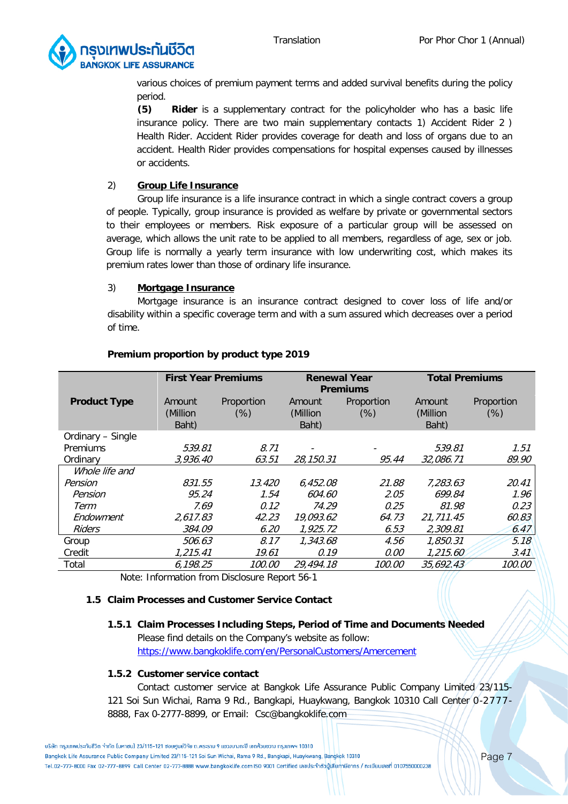![](_page_6_Picture_2.jpeg)

various choices of premium payment terms and added survival benefits during the policy period.

**(5) Rider** is a supplementary contract for the policyholder who has a basic life insurance policy. There are two main supplementary contacts 1) Accident Rider 2 ) Health Rider. Accident Rider provides coverage for death and loss of organs due to an accident. Health Rider provides compensations for hospital expenses caused by illnesses or accidents.

# 2) **Group Life Insurance**

Group life insurance is a life insurance contract in which a single contract covers a group of people. Typically, group insurance is provided as welfare by private or governmental sectors to their employees or members. Risk exposure of a particular group will be assessed on average, which allows the unit rate to be applied to all members, regardless of age, sex or job. Group life is normally a yearly term insurance with low underwriting cost, which makes its premium rates lower than those of ordinary life insurance.

# 3) **Mortgage Insurance**

Mortgage insurance is an insurance contract designed to cover loss of life and/or disability within a specific coverage term and with a sum assured which decreases over a period of time.

|                     | <b>First Year Premiums</b>  |                      | <b>Renewal Year</b><br><b>Premiums</b> |                      | <b>Total Premiums</b>       |                    |
|---------------------|-----------------------------|----------------------|----------------------------------------|----------------------|-----------------------------|--------------------|
| <b>Product Type</b> | Amount<br>(Million<br>Baht) | Proportion<br>$(\%)$ | Amount<br>(Million<br>Baht)            | Proportion<br>$(\%)$ | Amount<br>(Million<br>Baht) | Proportion<br>(% ) |
| Ordinary - Single   |                             |                      |                                        |                      |                             |                    |
| <b>Premiums</b>     | 539.81                      | 8.71                 |                                        |                      | 539.81                      | 1.51               |
| Ordinary            | 3,936.40                    | 63.51                | 28,150.31                              | 95.44                | 32,086.71                   | 89.90              |
| Whole life and      |                             |                      |                                        |                      |                             |                    |
| Pension             | 831.55                      | 13.420               | 6.452.08                               | 21.88                | 7,283.63                    | 20.41              |
| Pension             | 95.24                       | 1.54                 | 604.60                                 | 2.05                 | 699.84                      | 1.96               |
| Term                | 7.69                        | 0.12                 | 74.29                                  | 0.25                 | 81.98                       | 0.23               |
| Endowment           | 2.617.83                    | 42.23                | 19.093.62                              | 64.73                | 21.711.45                   | 60.83              |
| <b>Riders</b>       | 384.09                      | 6.20                 | 1,925.72                               | 6.53                 | 2,309.81                    | 6.47               |
| Group               | 506.63                      | 8.17                 | 1,343.68                               | 4.56                 | 1,850.31                    | 5.18               |
| Credit              | 1,215.41                    | 19.61                | 0.19                                   | 0.00                 | 1,215.60                    | 3.41               |
| Total               | 6,198.25                    | 100.00               | 29,494.18                              | 100.00               | 35,692.43                   | 100.00             |

# **Premium proportion by product type 2019**

Note: Information from Disclosure Report 56-1

# **1.5 Claim Processes and Customer Service Contact**

# **1.5.1 Claim Processes Including Steps, Period of Time and Documents Needed**

Please find details on the Company's website as follow: <https://www.bangkoklife.com/en/PersonalCustomers/Amercement>

#### **1.5.2 Customer service contact**

Contact customer service at Bangkok Life Assurance Public Company Limited 23/115- 121 Soi Sun Wichai, Rama 9 Rd., Bangkapi, Huaykwang, Bangkok 10310 Call Center 0-2777 - 8888, Fax 0-2777-8899, or Email: [Csc@bangkoklife.com](mailto:Csc@bangkoklife.com)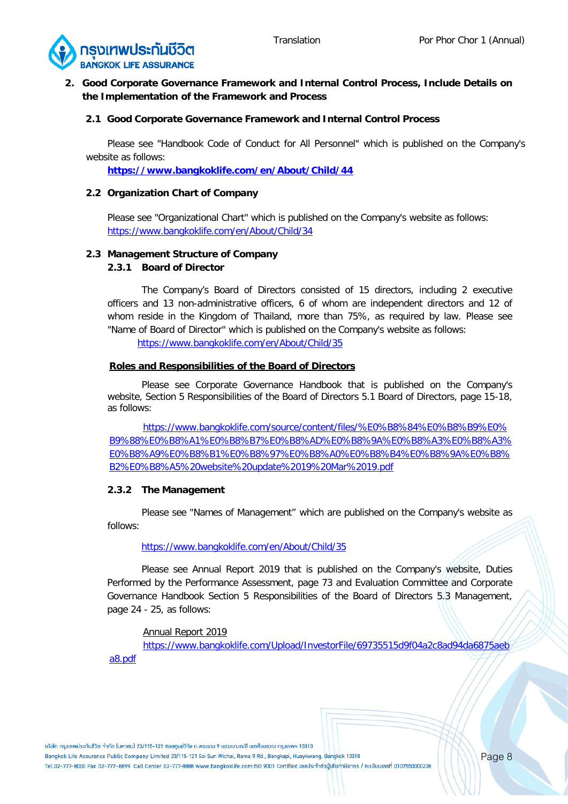![](_page_7_Picture_2.jpeg)

# **2. Good Corporate Governance Framework and Internal Control Process, Include Details on the Implementation of the Framework and Process**

# **2.1 Good Corporate Governance Framework and Internal Control Process**

Please see "Handbook Code of Conduct for All Personnel" which is published on the Company's website as follows:

**<https://www.bangkoklife.com/en/About/Child/44>**

#### **2.2 Organization Chart of Company**

Please see "Organizational Chart" which is published on the Company's website as follows: <https://www.bangkoklife.com/en/About/Child/34>

#### **2.3 Management Structure of Company**

#### **2.3.1 Board of Director**

The Company's Board of Directors consisted of 15 directors, including 2 executive officers and 13 non-administrative officers, 6 of whom are independent directors and 12 of whom reside in the Kingdom of Thailand, more than 75%, as required by law. Please see "Name of Board of Director" which is published on the Company's website as follows:

<https://www.bangkoklife.com/en/About/Child/35>

#### **Roles and Responsibilities of the Board of Directors**

Please see Corporate Governance Handbook that is published on the Company's website, Section 5 Responsibilities of the Board of Directors 5.1 Board of Directors, page 15-18, as follows:

[https://www.bangkoklife.com/source/content/files/%E0%B8%84%E0%B8%B9%E0%](https://www.bangkoklife.com/source/content/files/%E0%B8%84%E0%B8%B9%E0%B9%88%E0%B8%A1%E0%B8%B7%E0%B8%AD%E0%B8%9A%E0%B8%A3%E0%B8%A3%E0%B8%A9%E0%B8%B1%E0%B8%97%E0%B8%A0%E0%B8%B4%E0%B8%9A%E0%B8%B2%E0%B8%A5%20website%20update%2019%20Mar%2019.pdf) [B9%88%E0%B8%A1%E0%B8%B7%E0%B8%AD%E0%B8%9A%E0%B8%A3%E0%B8%A3%](https://www.bangkoklife.com/source/content/files/%E0%B8%84%E0%B8%B9%E0%B9%88%E0%B8%A1%E0%B8%B7%E0%B8%AD%E0%B8%9A%E0%B8%A3%E0%B8%A3%E0%B8%A9%E0%B8%B1%E0%B8%97%E0%B8%A0%E0%B8%B4%E0%B8%9A%E0%B8%B2%E0%B8%A5%20website%20update%2019%20Mar%2019.pdf) [E0%B8%A9%E0%B8%B1%E0%B8%97%E0%B8%A0%E0%B8%B4%E0%B8%9A%E0%B8%](https://www.bangkoklife.com/source/content/files/%E0%B8%84%E0%B8%B9%E0%B9%88%E0%B8%A1%E0%B8%B7%E0%B8%AD%E0%B8%9A%E0%B8%A3%E0%B8%A3%E0%B8%A9%E0%B8%B1%E0%B8%97%E0%B8%A0%E0%B8%B4%E0%B8%9A%E0%B8%B2%E0%B8%A5%20website%20update%2019%20Mar%2019.pdf) [B2%E0%B8%A5%20website%20update%2019%20Mar%2019.pdf](https://www.bangkoklife.com/source/content/files/%E0%B8%84%E0%B8%B9%E0%B9%88%E0%B8%A1%E0%B8%B7%E0%B8%AD%E0%B8%9A%E0%B8%A3%E0%B8%A3%E0%B8%A9%E0%B8%B1%E0%B8%97%E0%B8%A0%E0%B8%B4%E0%B8%9A%E0%B8%B2%E0%B8%A5%20website%20update%2019%20Mar%2019.pdf)

#### **2.3.2 The Management**

Please see "Names of Management" which are published on the Company's website as follows:

#### <https://www.bangkoklife.com/en/About/Child/35>

Please see Annual Report 2019 that is published on the Company's website, Duties Performed by the Performance Assessment, page 73 and Evaluation Committee and Corporate Governance Handbook Section 5 Responsibilities of the Board of Directors 5.3 Management, page 24 - 25, as follows:

#### Annual Report 2019

[https://www.bangkoklife.com/Upload/InvestorFile/69735515d9f04a2c8ad94da6875aeb](https://www.bangkoklife.com/Upload/InvestorFile/69735515d9f04a2c8ad94da6875aeba8.pdf) [a8.pdf](https://www.bangkoklife.com/Upload/InvestorFile/69735515d9f04a2c8ad94da6875aeba8.pdf)

้บริษัท กรมเทพประกันชีวิต จำกัด (มหาชน) 23/115-121 ซอยศนย์วิจัย ถ.พระราม 9 แขวมบางกะปิ เขตห้วยขวาง กรมเทพฯ 10310

Bangkok Life Assurance Public Company Limited 23/115-121 Soi Sun Wichai, Rama 9 Rd., Bangkapi, Huaykwang, Bangkok 10310 Tel.02-777-8000 Fax 02-777-8899 Call Center 02-777-8888 www.bangkoklife.com ISO 9001 Certified เลขประจำตัวบู้เสียภาษีอากร / ทะเบียนเลขที่ 0107550000238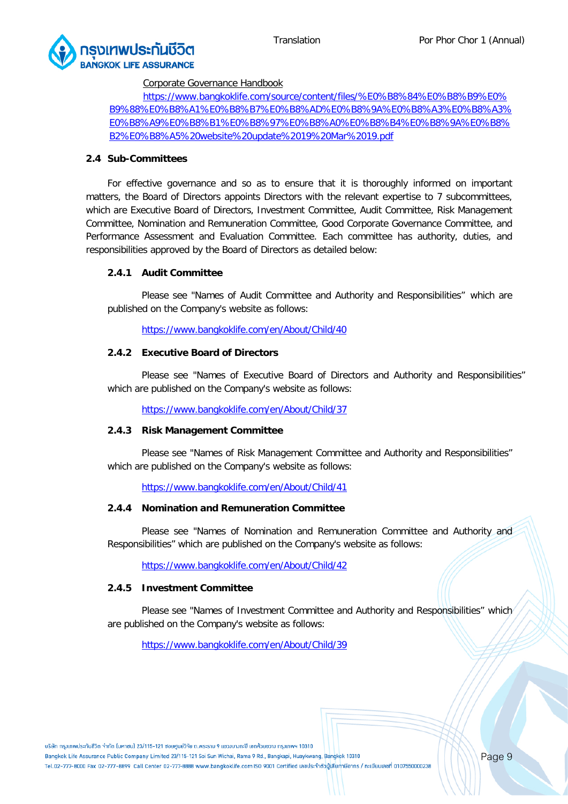![](_page_8_Picture_0.jpeg)

![](_page_8_Picture_2.jpeg)

#### Corporate Governance Handbook

[https://www.bangkoklife.com/source/content/files/%E0%B8%84%E0%B8%B9%E0%](https://www.bangkoklife.com/source/content/files/%E0%B8%84%E0%B8%B9%E0%B9%88%E0%B8%A1%E0%B8%B7%E0%B8%AD%E0%B8%9A%E0%B8%A3%E0%B8%A3%E0%B8%A9%E0%B8%B1%E0%B8%97%E0%B8%A0%E0%B8%B4%E0%B8%9A%E0%B8%B2%E0%B8%A5%20website%20update%2019%20Mar%2019.pdf) [B9%88%E0%B8%A1%E0%B8%B7%E0%B8%AD%E0%B8%9A%E0%B8%A3%E0%B8%A3%](https://www.bangkoklife.com/source/content/files/%E0%B8%84%E0%B8%B9%E0%B9%88%E0%B8%A1%E0%B8%B7%E0%B8%AD%E0%B8%9A%E0%B8%A3%E0%B8%A3%E0%B8%A9%E0%B8%B1%E0%B8%97%E0%B8%A0%E0%B8%B4%E0%B8%9A%E0%B8%B2%E0%B8%A5%20website%20update%2019%20Mar%2019.pdf) [E0%B8%A9%E0%B8%B1%E0%B8%97%E0%B8%A0%E0%B8%B4%E0%B8%9A%E0%B8%](https://www.bangkoklife.com/source/content/files/%E0%B8%84%E0%B8%B9%E0%B9%88%E0%B8%A1%E0%B8%B7%E0%B8%AD%E0%B8%9A%E0%B8%A3%E0%B8%A3%E0%B8%A9%E0%B8%B1%E0%B8%97%E0%B8%A0%E0%B8%B4%E0%B8%9A%E0%B8%B2%E0%B8%A5%20website%20update%2019%20Mar%2019.pdf) [B2%E0%B8%A5%20website%20update%2019%20Mar%2019.pdf](https://www.bangkoklife.com/source/content/files/%E0%B8%84%E0%B8%B9%E0%B9%88%E0%B8%A1%E0%B8%B7%E0%B8%AD%E0%B8%9A%E0%B8%A3%E0%B8%A3%E0%B8%A9%E0%B8%B1%E0%B8%97%E0%B8%A0%E0%B8%B4%E0%B8%9A%E0%B8%B2%E0%B8%A5%20website%20update%2019%20Mar%2019.pdf)

#### **2.4 Sub-Committees**

For effective governance and so as to ensure that it is thoroughly informed on important matters, the Board of Directors appoints Directors with the relevant expertise to 7 subcommittees, which are Executive Board of Directors, Investment Committee, Audit Committee, Risk Management Committee, Nomination and Remuneration Committee, Good Corporate Governance Committee, and Performance Assessment and Evaluation Committee. Each committee has authority, duties, and responsibilities approved by the Board of Directors as detailed below:

#### **2.4.1 Audit Committee**

Please see "Names of Audit Committee and Authority and Responsibilities" which are published on the Company's website as follows:

<https://www.bangkoklife.com/en/About/Child/40>

# **2.4.2 Executive Board of Directors**

Please see "Names of Executive Board of Directors and Authority and Responsibilities" which are published on the Company's website as follows:

<https://www.bangkoklife.com/en/About/Child/37>

### **2.4.3 Risk Management Committee**

Please see "Names of Risk Management Committee and Authority and Responsibilities" which are published on the Company's website as follows:

<https://www.bangkoklife.com/en/About/Child/41>

#### **2.4.4 Nomination and Remuneration Committee**

Please see "Names of Nomination and Remuneration Committee and Authority and Responsibilities" which are published on the Company's website as follows:

<https://www.bangkoklife.com/en/About/Child/42>

#### **2.4.5 Investment Committee**

Please see "Names of Investment Committee and Authority and Responsibilities" which are published on the Company's website as follows:

<https://www.bangkoklife.com/en/About/Child/39>

้บริษัท กรมเทพประกันชีวิต จำกัด (มหาชน) 23/115-121 ซอยศนย์วิจัย ถ.พระราม 9 แขวมบางกะปิ เขตห้วยขวาง กรมเทพฯ 10310

Bangkok Life Assurance Public Company Limited 23/115-121 Soi Sun Wichai, Rama 9 Rd., Bangkapi, Huaykwang, Bangkok 10310 Tel.02-777-8000 Fax 02-777-8899 Call Center 02-777-8888 www.bangkoklife.com ISO 9001 Certified เลขประจำตัวบู้เสียภาษีอากร / ทะเบียนเลขที่ 0107550000238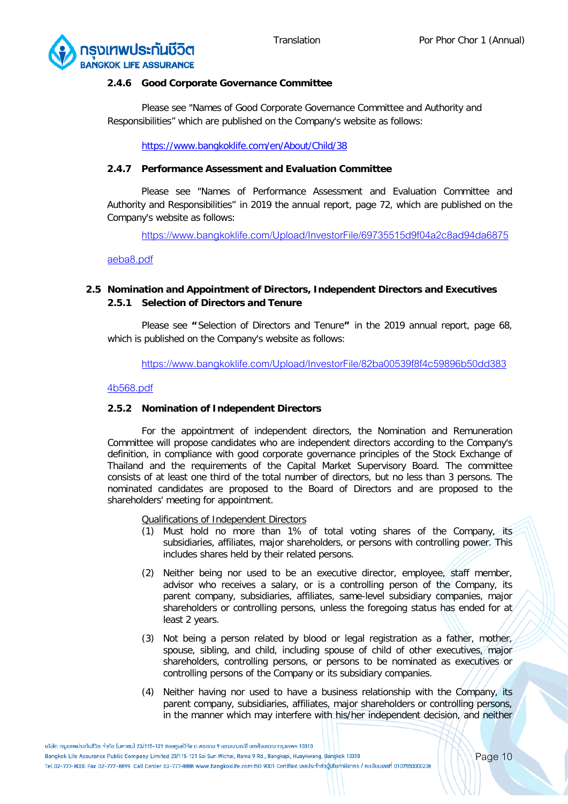![](_page_9_Picture_2.jpeg)

#### **2.4.6 Good Corporate Governance Committee**

Please see "Names of Good Corporate Governance Committee and Authority and Responsibilities" which are published on the Company's website as follows:

<https://www.bangkoklife.com/en/About/Child/38>

# **2.4.7 Performance Assessment and Evaluation Committee**

Please see "Names of Performance Assessment and Evaluation Committee and Authority and Responsibilities" in 2019 the annual report, page 72, which are published on the Company's website as follows:

[https://www.bangkoklife.com/Upload/InvestorFile/69735515d9f04a2c8ad94da6875](https://www.bangkoklife.com/Upload/InvestorFile/69735515d9f04a2c8ad94da6875aeba8.pdf)

[aeba8.pdf](https://www.bangkoklife.com/Upload/InvestorFile/69735515d9f04a2c8ad94da6875aeba8.pdf)

# **2.5 Nomination and Appointment of Directors, Independent Directors and Executives 2.5.1 Selection of Directors and Tenure**

Please see **"** Selection of Directors and Tenure**"** in the 2019 annual report, page 68, which is published on the Company's website as follows:

[https://www.bangkoklife.com/Upload/InvestorFile/82ba00539f8f4c59896b50dd383](https://www.bangkoklife.com/Upload/InvestorFile/82ba00539f8f4c59896b50dd3834b568.pdf)

# [4b568.pdf](https://www.bangkoklife.com/Upload/InvestorFile/82ba00539f8f4c59896b50dd3834b568.pdf)

# **2.5.2 Nomination of Independent Directors**

For the appointment of independent directors, the Nomination and Remuneration Committee will propose candidates who are independent directors according to the Company's definition, in compliance with good corporate governance principles of the Stock Exchange of Thailand and the requirements of the Capital Market Supervisory Board. The committee consists of at least one third of the total number of directors, but no less than 3 persons. The nominated candidates are proposed to the Board of Directors and are proposed to the shareholders' meeting for appointment.

Qualifications of Independent Directors

- (1) Must hold no more than 1% of total voting shares of the Company, its subsidiaries, affiliates, major shareholders, or persons with controlling power. This includes shares held by their related persons.
- (2) Neither being nor used to be an executive director, employee, staff member, advisor who receives a salary, or is a controlling person of the Company, its parent company, subsidiaries, affiliates, same-level subsidiary companies, major shareholders or controlling persons, unless the foregoing status has ended for at least 2 years.
- (3) Not being a person related by blood or legal registration as a father, mother, spouse, sibling, and child, including spouse of child of other executives, major shareholders, controlling persons, or persons to be nominated as executives or controlling persons of the Company or its subsidiary companies.
- (4) Neither having nor used to have a business relationship with the Company, its parent company, subsidiaries, affiliates, major shareholders or controlling persons, in the manner which may interfere with his/her independent decision, and neither

<sup>้</sup>บริษัท กรมเทพประกันชีวิต จำกัด (มหาชน) 23/115-121 ซอยศนย์วิจัย ถ.พระราม 9 แขวมบางกะปิ เขตห้วยขวาง กรมเทพฯ 10310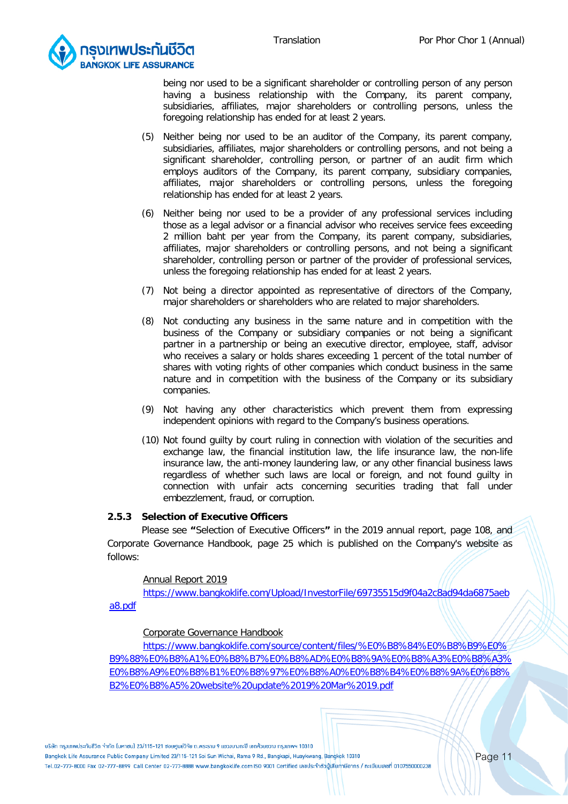![](_page_10_Picture_2.jpeg)

being nor used to be a significant shareholder or controlling person of any person having a business relationship with the Company, its parent company, subsidiaries, affiliates, major shareholders or controlling persons, unless the foregoing relationship has ended for at least 2 years.

- (5) Neither being nor used to be an auditor of the Company, its parent company, subsidiaries, affiliates, major shareholders or controlling persons, and not being a significant shareholder, controlling person, or partner of an audit firm which employs auditors of the Company, its parent company, subsidiary companies, affiliates, major shareholders or controlling persons, unless the foregoing relationship has ended for at least 2 years.
- (6) Neither being nor used to be a provider of any professional services including those as a legal advisor or a financial advisor who receives service fees exceeding 2 million baht per year from the Company, its parent company, subsidiaries, affiliates, major shareholders or controlling persons, and not being a significant shareholder, controlling person or partner of the provider of professional services, unless the foregoing relationship has ended for at least 2 years.
- (7) Not being a director appointed as representative of directors of the Company, major shareholders or shareholders who are related to major shareholders.
- (8) Not conducting any business in the same nature and in competition with the business of the Company or subsidiary companies or not being a significant partner in a partnership or being an executive director, employee, staff, advisor who receives a salary or holds shares exceeding 1 percent of the total number of shares with voting rights of other companies which conduct business in the same nature and in competition with the business of the Company or its subsidiary companies.
- (9) Not having any other characteristics which prevent them from expressing independent opinions with regard to the Company's business operations.
- (10) Not found guilty by court ruling in connection with violation of the securities and exchange law, the financial institution law, the life insurance law, the non-life insurance law, the anti-money laundering law, or any other financial business laws regardless of whether such laws are local or foreign, and not found guilty in connection with unfair acts concerning securities trading that fall under embezzlement, fraud, or corruption.

#### **2.5.3 Selection of Executive Officers**

Please see **"**Selection of Executive Officers**"** in the 2019 annual report, page 108, and Corporate Governance Handbook, page 25 which is published on the Company's website as follows:

#### Annual Report 2019

[https://www.bangkoklife.com/Upload/InvestorFile/69735515d9f04a2c8ad94da6875aeb](https://www.bangkoklife.com/Upload/InvestorFile/69735515d9f04a2c8ad94da6875aeba8.pdf)

[a8.pdf](https://www.bangkoklife.com/Upload/InvestorFile/69735515d9f04a2c8ad94da6875aeba8.pdf)

#### Corporate Governance Handbook

[https://www.bangkoklife.com/source/content/files/%E0%B8%84%E0%B8%B9%E0%](https://www.bangkoklife.com/source/content/files/%E0%B8%84%E0%B8%B9%E0%B9%88%E0%B8%A1%E0%B8%B7%E0%B8%AD%E0%B8%9A%E0%B8%A3%E0%B8%A3%E0%B8%A9%E0%B8%B1%E0%B8%97%E0%B8%A0%E0%B8%B4%E0%B8%9A%E0%B8%B2%E0%B8%A5%20website%20update%2019%20Mar%2019.pdf) [B9%88%E0%B8%A1%E0%B8%B7%E0%B8%AD%E0%B8%9A%E0%B8%A3%E0%B8%A3%](https://www.bangkoklife.com/source/content/files/%E0%B8%84%E0%B8%B9%E0%B9%88%E0%B8%A1%E0%B8%B7%E0%B8%AD%E0%B8%9A%E0%B8%A3%E0%B8%A3%E0%B8%A9%E0%B8%B1%E0%B8%97%E0%B8%A0%E0%B8%B4%E0%B8%9A%E0%B8%B2%E0%B8%A5%20website%20update%2019%20Mar%2019.pdf) [E0%B8%A9%E0%B8%B1%E0%B8%97%E0%B8%A0%E0%B8%B4%E0%B8%9A%E0%B8%](https://www.bangkoklife.com/source/content/files/%E0%B8%84%E0%B8%B9%E0%B9%88%E0%B8%A1%E0%B8%B7%E0%B8%AD%E0%B8%9A%E0%B8%A3%E0%B8%A3%E0%B8%A9%E0%B8%B1%E0%B8%97%E0%B8%A0%E0%B8%B4%E0%B8%9A%E0%B8%B2%E0%B8%A5%20website%20update%2019%20Mar%2019.pdf) [B2%E0%B8%A5%20website%20update%2019%20Mar%2019.pdf](https://www.bangkoklife.com/source/content/files/%E0%B8%84%E0%B8%B9%E0%B9%88%E0%B8%A1%E0%B8%B7%E0%B8%AD%E0%B8%9A%E0%B8%A3%E0%B8%A3%E0%B8%A9%E0%B8%B1%E0%B8%97%E0%B8%A0%E0%B8%B4%E0%B8%9A%E0%B8%B2%E0%B8%A5%20website%20update%2019%20Mar%2019.pdf)

้บริษัท กรมเทพประกันชีวิต จำกัด ไมหาชน) 23/115-121 ซอยศนย์วิจัย ถ.พระราม 9 แขวมบางกะปิ เขตห้วยขวาง กรมเทพฯ 10310

Bangkok Life Assurance Public Company Limited 23/115-121 Soi Sun Wichai, Rama 9 Rd., Bangkapi, Huaykwang, Bangkok 10310 Tel.02-777-8000 Fax 02-777-8899 Call Center 02-777-8888 www.bangkoklife.com ISO 9001 Certified เลขประจำตัวบู้เสียภาษีอากร / ทะเบียนเลขที่ 0107550000238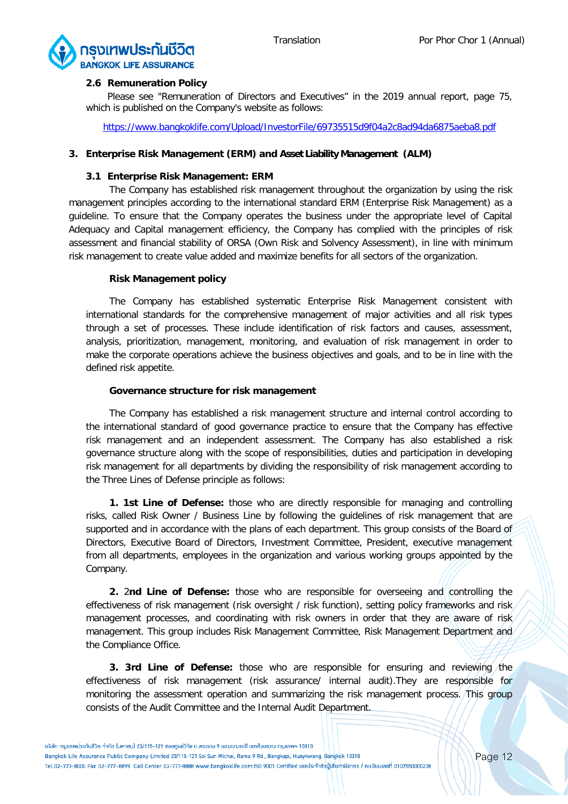![](_page_11_Picture_2.jpeg)

#### **2.6 Remuneration Policy**

Please see "Remuneration of Directors and Executives" in the 2019 annual report, page 75, which is published on the Company's website as follows:

<https://www.bangkoklife.com/Upload/InvestorFile/69735515d9f04a2c8ad94da6875aeba8.pdf>

# **3. Enterprise Risk Management (ERM) and Asset Liability Management (ALM)**

#### **3.1 Enterprise Risk Management: ERM**

The Company has established risk management throughout the organization by using the risk management principles according to the international standard ERM (Enterprise Risk Management) as a guideline. To ensure that the Company operates the business under the appropriate level of Capital Adequacy and Capital management efficiency, the Company has complied with the principles of risk assessment and financial stability of ORSA (Own Risk and Solvency Assessment), in line with minimum risk management to create value added and maximize benefits for all sectors of the organization.

# **Risk Management policy**

The Company has established systematic Enterprise Risk Management consistent with international standards for the comprehensive management of major activities and all risk types through a set of processes. These include identification of risk factors and causes, assessment, analysis, prioritization, management, monitoring, and evaluation of risk management in order to make the corporate operations achieve the business objectives and goals, and to be in line with the defined risk appetite.

# **Governance structure for risk management**

The Company has established a risk management structure and internal control according to the international standard of good governance practice to ensure that the Company has effective risk management and an independent assessment. The Company has also established a risk governance structure along with the scope of responsibilities, duties and participation in developing risk management for all departments by dividing the responsibility of risk management according to the Three Lines of Defense principle as follows:

**1. 1st Line of Defense:** those who are directly responsible for managing and controlling risks, called Risk Owner / Business Line by following the guidelines of risk management that are supported and in accordance with the plans of each department. This group consists of the Board of Directors, Executive Board of Directors, Investment Committee, President, executive management from all departments, employees in the organization and various working groups appointed by the Company.

**2.** 2**nd Line of Defense:** those who are responsible for overseeing and controlling the effectiveness of risk management (risk oversight / risk function), setting policy frameworks and risk management processes, and coordinating with risk owners in order that they are aware of risk management. This group includes Risk Management Committee, Risk Management Department and the Compliance Office.

**3. 3rd Line of Defense:** those who are responsible for ensuring and reviewing the effectiveness of risk management (risk assurance/ internal audit).They are responsible for monitoring the assessment operation and summarizing the risk management process. This group consists of the Audit Committee and the Internal Audit Department.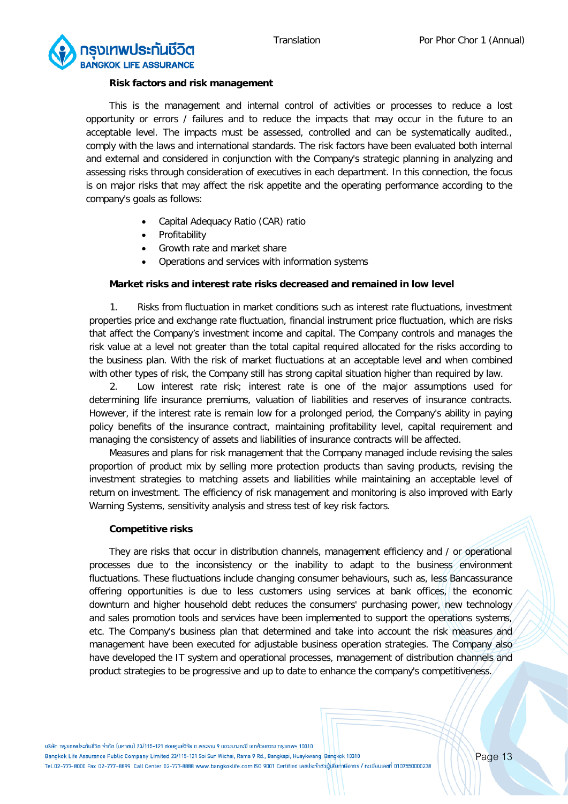![](_page_12_Picture_2.jpeg)

#### **Risk factors and risk management**

This is the management and internal control of activities or processes to reduce a lost opportunity or errors / failures and to reduce the impacts that may occur in the future to an acceptable level. The impacts must be assessed, controlled and can be systematically audited., comply with the laws and international standards. The risk factors have been evaluated both internal and external and considered in conjunction with the Company's strategic planning in analyzing and assessing risks through consideration of executives in each department. In this connection, the focus is on major risks that may affect the risk appetite and the operating performance according to the company's goals as follows:

- Capital Adequacy Ratio (CAR) ratio
- **Profitability**
- Growth rate and market share
- Operations and services with information systems

#### **Market risks and interest rate risks decreased and remained in low level**

1. Risks from fluctuation in market conditions such as interest rate fluctuations, investment properties price and exchange rate fluctuation, financial instrument price fluctuation, which are risks that affect the Company's investment income and capital. The Company controls and manages the risk value at a level not greater than the total capital required allocated for the risks according to the business plan. With the risk of market fluctuations at an acceptable level and when combined with other types of risk, the Company still has strong capital situation higher than required by law.

2. Low interest rate risk; interest rate is one of the major assumptions used for determining life insurance premiums, valuation of liabilities and reserves of insurance contracts. However, if the interest rate is remain low for a prolonged period, the Company's ability in paying policy benefits of the insurance contract, maintaining profitability level, capital requirement and managing the consistency of assets and liabilities of insurance contracts will be affected.

Measures and plans for risk management that the Company managed include revising the sales proportion of product mix by selling more protection products than saving products, revising the investment strategies to matching assets and liabilities while maintaining an acceptable level of return on investment. The efficiency of risk management and monitoring is also improved with Early Warning Systems, sensitivity analysis and stress test of key risk factors.

#### **Competitive risks**

They are risks that occur in distribution channels, management efficiency and / or operational processes due to the inconsistency or the inability to adapt to the business environment fluctuations. These fluctuations include changing consumer behaviours, such as, less Bancassurance offering opportunities is due to less customers using services at bank offices, the economic downturn and higher household debt reduces the consumers' purchasing power, new technology and sales promotion tools and services have been implemented to support the operations systems, etc. The Company's business plan that determined and take into account the risk measures and management have been executed for adjustable business operation strategies. The Company also have developed the IT system and operational processes, management of distribution channels and product strategies to be progressive and up to date to enhance the company's competitiveness.

้บริษัท กรมเทพประกันชีวิต จำกัด ไมหาชน) 23/115-121 ซอยศนย์วิจัย ถ.พระราม 9 แขวมบางกะปิ เขตห้วยขวาง กรมเทพฯ 10310 Bangkok Life Assurance Public Company Limited 23/115-121 Soi Sun Wichai, Rama 9 Rd., Bangkapi, Huaykwang, Bangkok 10310 Tel.02-777-8000 Fax 02-777-8899 Call Center 02-777-8888 www.bangkoklife.com ISO 9001 Certified เลขประจำตัวบู้เสียภาษีอากร / ทะเบียนเลขที่ 0107550000238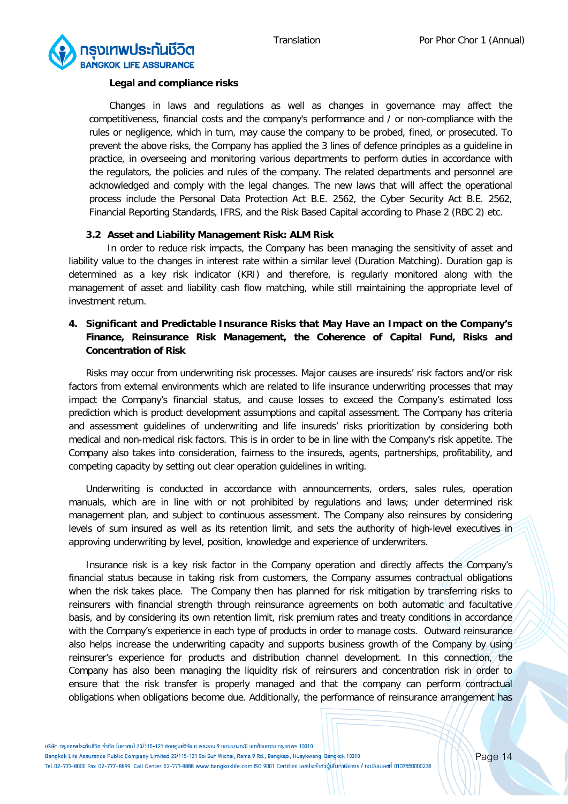![](_page_13_Picture_2.jpeg)

#### **Legal and compliance risks**

Changes in laws and regulations as well as changes in governance may affect the competitiveness, financial costs and the company's performance and / or non-compliance with the rules or negligence, which in turn, may cause the company to be probed, fined, or prosecuted. To prevent the above risks, the Company has applied the 3 lines of defence principles as a guideline in practice, in overseeing and monitoring various departments to perform duties in accordance with the regulators, the policies and rules of the company. The related departments and personnel are acknowledged and comply with the legal changes. The new laws that will affect the operational process include the Personal Data Protection Act B.E. 2562, the Cyber Security Act B.E. 2562, Financial Reporting Standards, IFRS, and the Risk Based Capital according to Phase 2 (RBC 2) etc.

#### **3.2 Asset and Liability Management Risk: ALM Risk**

In order to reduce risk impacts, the Company has been managing the sensitivity of asset and liability value to the changes in interest rate within a similar level (Duration Matching). Duration gap is determined as a key risk indicator (KRI) and therefore, is regularly monitored along with the management of asset and liability cash flow matching, while still maintaining the appropriate level of investment return.

# **4. Significant and Predictable Insurance Risks that May Have an Impact on the Company's Finance, Reinsurance Risk Management, the Coherence of Capital Fund, Risks and Concentration of Risk**

Risks may occur from underwriting risk processes. Major causes are insureds' risk factors and/or risk factors from external environments which are related to life insurance underwriting processes that may impact the Company's financial status, and cause losses to exceed the Company's estimated loss prediction which is product development assumptions and capital assessment. The Company has criteria and assessment guidelines of underwriting and life insureds' risks prioritization by considering both medical and non-medical risk factors. This is in order to be in line with the Company's risk appetite. The Company also takes into consideration, fairness to the insureds, agents, partnerships, profitability, and competing capacity by setting out clear operation guidelines in writing.

Underwriting is conducted in accordance with announcements, orders, sales rules, operation manuals, which are in line with or not prohibited by regulations and laws; under determined risk management plan, and subject to continuous assessment. The Company also reinsures by considering levels of sum insured as well as its retention limit, and sets the authority of high-level executives in approving underwriting by level, position, knowledge and experience of underwriters.

Insurance risk is a key risk factor in the Company operation and directly affects the Company's financial status because in taking risk from customers, the Company assumes contractual obligations when the risk takes place. The Company then has planned for risk mitigation by transferring risks to reinsurers with financial strength through reinsurance agreements on both automatic and facultative basis, and by considering its own retention limit, risk premium rates and treaty conditions in accordance with the Company's experience in each type of products in order to manage costs. Outward reinsurance also helps increase the underwriting capacity and supports business growth of the Company by using reinsurer's experience for products and distribution channel development. In this connection, the Company has also been managing the liquidity risk of reinsurers and concentration risk in order to ensure that the risk transfer is properly managed and that the company can perform/contractual obligations when obligations become due. Additionally, the performance of reinsurance arrangement has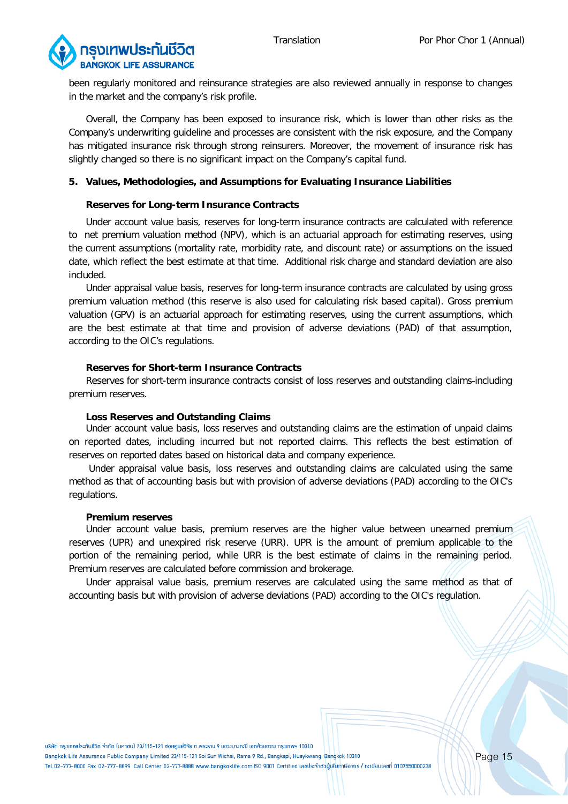![](_page_14_Picture_2.jpeg)

been regularly monitored and reinsurance strategies are also reviewed annually in response to changes in the market and the company's risk profile.

Overall, the Company has been exposed to insurance risk, which is lower than other risks as the Company's underwriting guideline and processes are consistent with the risk exposure, and the Company has mitigated insurance risk through strong reinsurers. Moreover, the movement of insurance risk has slightly changed so there is no significant impact on the Company's capital fund.

#### **5. Values, Methodologies, and Assumptions for Evaluating Insurance Liabilities**

#### **Reserves for Long-term Insurance Contracts**

Under account value basis, reserves for long-term insurance contracts are calculated with reference to net premium valuation method (NPV), which is an actuarial approach for estimating reserves, using the current assumptions (mortality rate, morbidity rate, and discount rate) or assumptions on the issued date, which reflect the best estimate at that time. Additional risk charge and standard deviation are also included.

Under appraisal value basis, reserves for long-term insurance contracts are calculated by using gross premium valuation method (this reserve is also used for calculating risk based capital). Gross premium valuation (GPV) is an actuarial approach for estimating reserves, using the current assumptions, which are the best estimate at that time and provision of adverse deviations (PAD) of that assumption, according to the OIC's regulations.

#### **Reserves for Short-term Insurance Contracts**

Reserves for short-term insurance contracts consist of loss reserves and outstanding claims-including premium reserves.

#### **Loss Reserves and Outstanding Claims**

Under account value basis, loss reserves and outstanding claims are the estimation of unpaid claims on reported dates, including incurred but not reported claims. This reflects the best estimation of reserves on reported dates based on historical data and company experience.

Under appraisal value basis, loss reserves and outstanding claims are calculated using the same method as that of accounting basis but with provision of adverse deviations (PAD) according to the OIC's regulations.

#### **Premium reserves**

Under account value basis, premium reserves are the higher value between unearned premium reserves (UPR) and unexpired risk reserve (URR). UPR is the amount of premium applicable to the portion of the remaining period, while URR is the best estimate of claims in the remaining period. Premium reserves are calculated before commission and brokerage.

Under appraisal value basis, premium reserves are calculated using the same method as that of accounting basis but with provision of adverse deviations (PAD) according to the OIC's regulation.

้บริษัท กรมเทพประกันชีวิต จำกัด ไมหาชน) 23/115-121 ซอยศนย์วิจัย ถ.พระราม 9 แขวมบางกะปิ เขตห้วยขวาง กรมเทพฯ 10310

Bangkok Life Assurance Public Company Limited 23/115-121 Soi Sun Wichai, Rama 9 Rd., Bangkapi, Huaykwang, Bangkok 10310 Tel.02-777-8000 Fax 02-777-8899 Call Center 02-777-8888 www.bangkoklife.com ISO 9001 Certified เลขประจำตัวบู้เสียภาษีอากร / ทะเบียนเลขที่ 0107550000238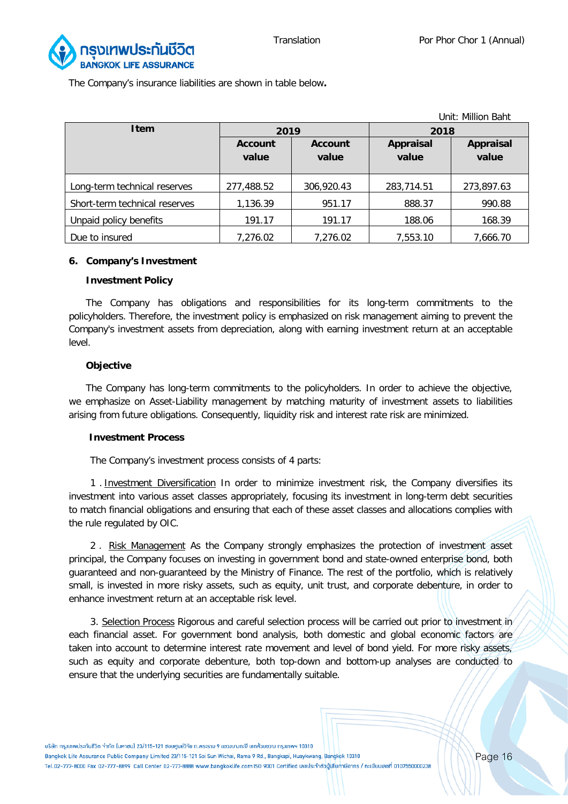![](_page_15_Picture_2.jpeg)

The Company's insurance liabilities are shown in table below**.**

|                               |                |                |                  | Unit: Million Baht |  |
|-------------------------------|----------------|----------------|------------------|--------------------|--|
| <b>Item</b>                   | 2019           |                | 2018             |                    |  |
|                               | <b>Account</b> | <b>Account</b> | <b>Appraisal</b> | Appraisal          |  |
|                               | value          | value          | value            | value              |  |
|                               |                |                |                  |                    |  |
| Long-term technical reserves  | 277,488.52     | 306,920.43     | 283,714.51       | 273,897.63         |  |
| Short-term technical reserves | 1,136.39       | 951.17         | 888.37           | 990.88             |  |
| Unpaid policy benefits        | 191.17         | 191.17         | 188.06           | 168.39             |  |
| Due to insured                | 7,276.02       | 7,276.02       | 7,553.10         | 7,666.70           |  |

#### **6. Company's Investment**

#### **Investment Policy**

The Company has obligations and responsibilities for its long-term commitments to the policyholders. Therefore, the investment policy is emphasized on risk management aiming to prevent the Company's investment assets from depreciation, along with earning investment return at an acceptable level.

#### **Objective**

The Company has long-term commitments to the policyholders. In order to achieve the objective, we emphasize on Asset-Liability management by matching maturity of investment assets to liabilities arising from future obligations. Consequently, liquidity risk and interest rate risk are minimized.

#### **Investment Process**

The Company's investment process consists of 4 parts:

1 . Investment Diversification In order to minimize investment risk, the Company diversifies its investment into various asset classes appropriately, focusing its investment in long-term debt securities to match financial obligations and ensuring that each of these asset classes and allocations complies with the rule regulated by OIC.

2. Risk Management As the Company strongly emphasizes the protection of investment asset principal, the Company focuses on investing in government bond and state-owned enterprise bond, both guaranteed and non-guaranteed by the Ministry of Finance. The rest of the portfolio, which is relatively small, is invested in more risky assets, such as equity, unit trust, and corporate debenture, in order to enhance investment return at an acceptable risk level.

3. Selection Process Rigorous and careful selection process will be carried out prior to investment in each financial asset. For government bond analysis, both domestic and global economic factors are taken into account to determine interest rate movement and level of bond yield. For more risky assets, such as equity and corporate debenture, both top-down and bottom-up analyses are conducted to ensure that the underlying securities are fundamentally suitable.

้บริษัท กรมเทพประกันชีวิต จำกัด ไมหาชน) 23/115-121 ซอยศนย์วิจัย ถ.พระราม 9 แขวมบางกะปิ เขตห้วยขวาง กรมเทพฯ 10310 Bangkok Life Assurance Public Company Limited 23/115-121 Soi Sun Wichai, Rama 9 Rd., Bangkapi, Huaykwang, Bangkok 10310 Tel.02-777-8000 Fax 02-777-8899 Call Center 02-777-8888 www.bangkoklife.com ISO 9001 Certified เลขประจำตัวบู้เสียภาษีอากร / ทะเบียนเลขที่ 0107550000238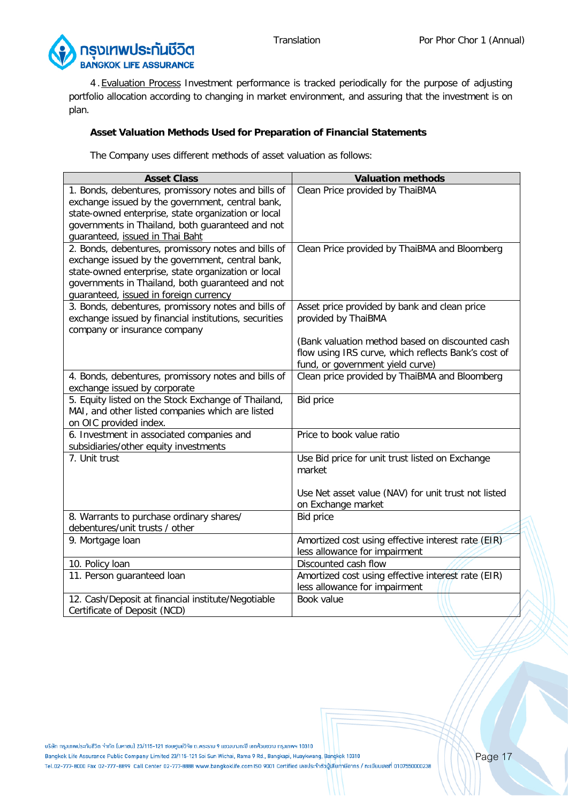![](_page_16_Picture_2.jpeg)

4 .Evaluation Process Investment performance is tracked periodically for the purpose of adjusting portfolio allocation according to changing in market environment, and assuring that the investment is on plan.

# **Asset Valuation Methods Used for Preparation of Financial Statements**

The Company uses different methods of asset valuation as follows:

| <b>Asset Class</b>                                                                            | <b>Valuation methods</b>                                            |
|-----------------------------------------------------------------------------------------------|---------------------------------------------------------------------|
| 1. Bonds, debentures, promissory notes and bills of                                           | Clean Price provided by ThaiBMA                                     |
| exchange issued by the government, central bank,                                              |                                                                     |
| state-owned enterprise, state organization or local                                           |                                                                     |
| governments in Thailand, both guaranteed and not                                              |                                                                     |
| guaranteed, issued in Thai Baht                                                               |                                                                     |
| 2. Bonds, debentures, promissory notes and bills of                                           | Clean Price provided by ThaiBMA and Bloomberg                       |
| exchange issued by the government, central bank,                                              |                                                                     |
| state-owned enterprise, state organization or local                                           |                                                                     |
| governments in Thailand, both guaranteed and not                                              |                                                                     |
| guaranteed, issued in foreign currency<br>3. Bonds, debentures, promissory notes and bills of |                                                                     |
| exchange issued by financial institutions, securities                                         | Asset price provided by bank and clean price<br>provided by ThaiBMA |
| company or insurance company                                                                  |                                                                     |
|                                                                                               | (Bank valuation method based on discounted cash                     |
|                                                                                               | flow using IRS curve, which reflects Bank's cost of                 |
|                                                                                               | fund, or government yield curve)                                    |
| 4. Bonds, debentures, promissory notes and bills of                                           | Clean price provided by ThaiBMA and Bloomberg                       |
| exchange issued by corporate                                                                  |                                                                     |
| 5. Equity listed on the Stock Exchange of Thailand,                                           | <b>Bid price</b>                                                    |
| MAI, and other listed companies which are listed                                              |                                                                     |
| on OIC provided index.                                                                        |                                                                     |
| 6. Investment in associated companies and                                                     | Price to book value ratio                                           |
| subsidiaries/other equity investments                                                         |                                                                     |
| 7. Unit trust                                                                                 | Use Bid price for unit trust listed on Exchange                     |
|                                                                                               | market                                                              |
|                                                                                               |                                                                     |
|                                                                                               | Use Net asset value (NAV) for unit trust not listed                 |
|                                                                                               | on Exchange market                                                  |
| 8. Warrants to purchase ordinary shares/                                                      | <b>Bid price</b>                                                    |
| debentures/unit trusts / other                                                                | Amortized cost using effective interest rate (EIR)                  |
| 9. Mortgage Ioan                                                                              | less allowance for impairment                                       |
| 10. Policy loan                                                                               | Discounted cash flow                                                |
| 11. Person guaranteed loan                                                                    | Amortized cost using effective interest rate (EIR)                  |
|                                                                                               | less allowance for impairment                                       |
| 12. Cash/Deposit at financial institute/Negotiable                                            | Book value                                                          |
| Certificate of Deposit (NCD)                                                                  |                                                                     |

บริษัท กรุงเทพประกันชีวิต จำกัด (มหาชน) 23/115-121 ซอยศูนย์วิจัย ถ.พระราม 9 แขวงบางกะปิ เขตห้วยขวาง กรุงเทพฯ 10310

Bangkok Life Assurance Public Company Limited 23/115-121 Soi Sun Wichai, Rama 9 Rd., Bangkapi, Huaykwang, Bangkok 10310 Tel.02-777-8000 Fax 02-777-8899 Call Center 02-777-8888 www.bangkoklife.com ISO 9001 Certified เลขประจำตัวบู้เสียภาษีอากร / ทะเบียนเลขที่ 0107550000238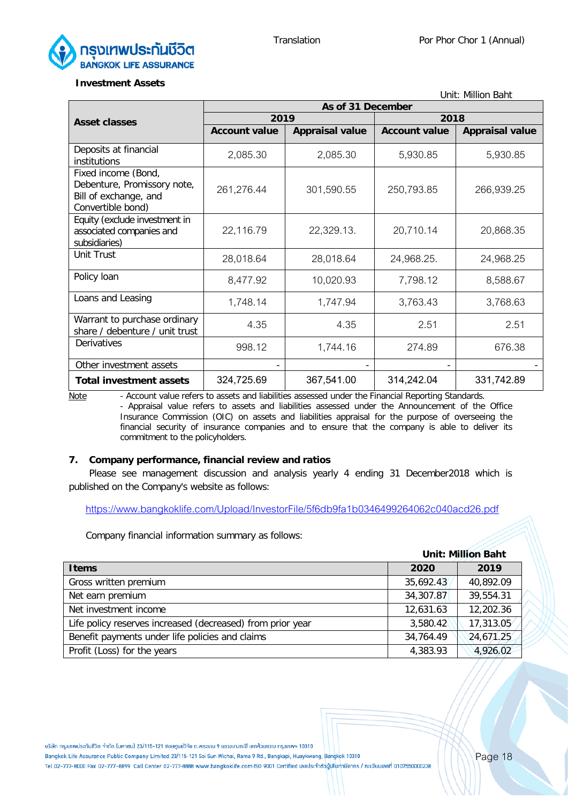Unit: Million Baht

![](_page_17_Picture_2.jpeg)

#### **Investment Assets**

| UNIII: MIIIIUN BANI                                                                              |                      |                        |                      |                        |  |
|--------------------------------------------------------------------------------------------------|----------------------|------------------------|----------------------|------------------------|--|
|                                                                                                  | As of 31 December    |                        |                      |                        |  |
| <b>Asset classes</b>                                                                             | 2019                 |                        | 2018                 |                        |  |
|                                                                                                  | <b>Account value</b> | <b>Appraisal value</b> | <b>Account value</b> | <b>Appraisal value</b> |  |
| Deposits at financial<br>institutions                                                            | 2,085.30             | 2,085.30               | 5,930.85             | 5,930.85               |  |
| Fixed income (Bond,<br>Debenture, Promissory note,<br>Bill of exchange, and<br>Convertible bond) | 261,276.44           | 301,590.55             | 250,793.85           | 266,939.25             |  |
| Equity (exclude investment in<br>associated companies and<br>subsidiaries)                       | 22,116.79            | 22,329.13.             | 20,710.14            | 20,868.35              |  |
| Unit Trust                                                                                       | 28,018.64            | 28,018.64              | 24,968.25.           | 24,968.25              |  |
| Policy loan                                                                                      | 8,477.92             | 10,020.93              | 7,798.12             | 8,588.67               |  |
| Loans and Leasing                                                                                | 1,748.14             | 1,747.94               | 3,763.43             | 3,768.63               |  |
| Warrant to purchase ordinary<br>share / debenture / unit trust                                   | 4.35                 | 4.35                   | 2.51                 | 2.51                   |  |
| Derivatives                                                                                      | 998.12               | 1,744.16               | 274.89               | 676.38                 |  |
| Other investment assets                                                                          |                      |                        |                      |                        |  |
| <b>Total investment assets</b>                                                                   | 324,725.69           | 367,541.00             | 314,242.04           | 331,742.89             |  |

Note - Account value refers to assets and liabilities assessed under the Financial Reporting Standards. - Appraisal value refers to assets and liabilities assessed under the Announcement of the Office Insurance Commission (OIC) on assets and liabilities appraisal for the purpose of overseeing the financial security of insurance companies and to ensure that the company is able to deliver its commitment to the policyholders.

#### **7. Company performance, financial review and ratios**

Please see management discussion and analysis yearly 4 ending 31 December2018 which is published on the Company's website as follows:

<https://www.bangkoklife.com/Upload/InvestorFile/5f6db9fa1b0346499264062c040acd26.pdf>

Company financial information summary as follows:

|                                                            | <b>Unit: Million Baht</b> |           |  |
|------------------------------------------------------------|---------------------------|-----------|--|
| <b>Items</b>                                               | 2020                      | 2019      |  |
| Gross written premium                                      | 35,692.43                 | 40,892.09 |  |
| Net earn premium                                           | 34,307.87                 | 39,554.31 |  |
| Net investment income                                      | 12,631.63                 | 12,202.36 |  |
| Life policy reserves increased (decreased) from prior year | 3,580.42                  | 17,313.05 |  |
| Benefit payments under life policies and claims            | 34,764.49                 | 24,671.25 |  |
| Profit (Loss) for the years                                | 4,383.93                  | 4,926.02  |  |

้บริษัท กรมเทพประกันชีวิต จำกัด (มหาชน) 23/115-121 ซอยศนย์วิจัย ถ.พระราม 9 แขวมบางกะปิ เขตห้วยขวาง กรมเทพฯ 10310

Bangkok Life Assurance Public Company Limited 23/115-121 Soi Sun Wichai, Rama 9 Rd., Bangkapi, Huaykwang, Bangkok 10310

Tel.02-777-8000 Fax 02-777-8899 Call Center 02-777-8888 www.bangkoklife.com ISO 9001 Certified เลขประจำตัวผู้เสียภาษีอากร / ทะเบียนเลขที่ 0107550000238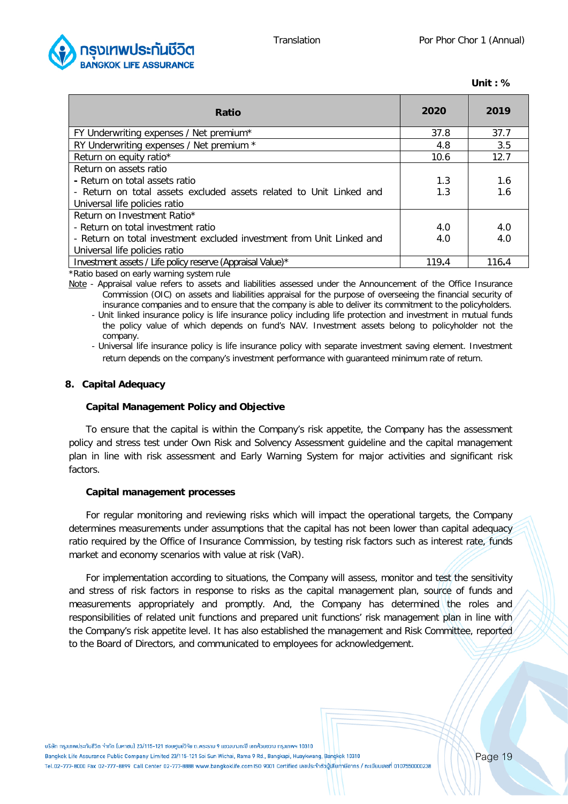![](_page_18_Picture_2.jpeg)

| Unit | ັ<br>$\epsilon$ |
|------|-----------------|
|------|-----------------|

| Ratio                                                                 | 2020  | 2019  |
|-----------------------------------------------------------------------|-------|-------|
| FY Underwriting expenses / Net premium*                               | 37.8  | 37.7  |
| RY Underwriting expenses / Net premium *                              | 4.8   | 3.5   |
| Return on equity ratio*                                               | 10.6  | 12.7  |
| Return on assets ratio                                                |       |       |
| - Return on total assets ratio                                        | 1.3   | 1.6   |
| - Return on total assets excluded assets related to Unit Linked and   | 1.3   | 1.6   |
| Universal life policies ratio                                         |       |       |
| Return on Investment Ratio*                                           |       |       |
| - Return on total investment ratio                                    | 4.0   | 4.0   |
| - Return on total investment excluded investment from Unit Linked and | 4.0   | 4.0   |
| Universal life policies ratio                                         |       |       |
| Investment assets / Life policy reserve (Appraisal Value)*            | 119.4 | 116.4 |

\*Ratio based on early warning system rule

Note - Appraisal value refers to assets and liabilities assessed under the Announcement of the Office Insurance Commission (OIC) on assets and liabilities appraisal for the purpose of overseeing the financial security of insurance companies and to ensure that the company is able to deliver its commitment to the policyholders.

- Unit linked insurance policy is life insurance policy including life protection and investment in mutual funds the policy value of which depends on fund's NAV. Investment assets belong to policyholder not the company.

- Universal life insurance policy is life insurance policy with separate investment saving element. Investment return depends on the company's investment performance with guaranteed minimum rate of return.

#### **8. Capital Adequacy**

#### **Capital Management Policy and Objective**

To ensure that the capital is within the Company's risk appetite, the Company has the assessment policy and stress test under Own Risk and Solvency Assessment guideline and the capital management plan in line with risk assessment and Early Warning System for major activities and significant risk factors.

#### **Capital management processes**

For regular monitoring and reviewing risks which will impact the operational targets, the Company determines measurements under assumptions that the capital has not been lower than capital adequacy ratio required by the Office of Insurance Commission, by testing risk factors such as interest rate, funds market and economy scenarios with value at risk (VaR).

For implementation according to situations, the Company will assess, monitor and test the sensitivity and stress of risk factors in response to risks as the capital management plan, source of funds and measurements appropriately and promptly. And, the Company has determined the roles and responsibilities of related unit functions and prepared unit functions' risk management plan in line with the Company's risk appetite level. It has also established the management and Risk Committee, reported to the Board of Directors, and communicated to employees for acknowledgement.

้บริษัท กรมเทพประกันชีวิต จำกัด ไมหาชน) 23/115-121 ซอยศนย์วิจัย ถ.พระราม 9 แขวมบางกะปิ เขตห้วยขวาง กรมเทพฯ 10310 Bangkok Life Assurance Public Company Limited 23/115-121 Soi Sun Wichai, Rama 9 Rd., Bangkapi, Huaykwang, Bangkok 10310 Tel.02-777-8000 Fax 02-777-8899 Call Center 02-777-8888 www.bangkoklife.com ISO 9001 Certified เลขประจำตัวบู้เสียภาษีอากร / ทะเบียนเลขที่ 0107550000238